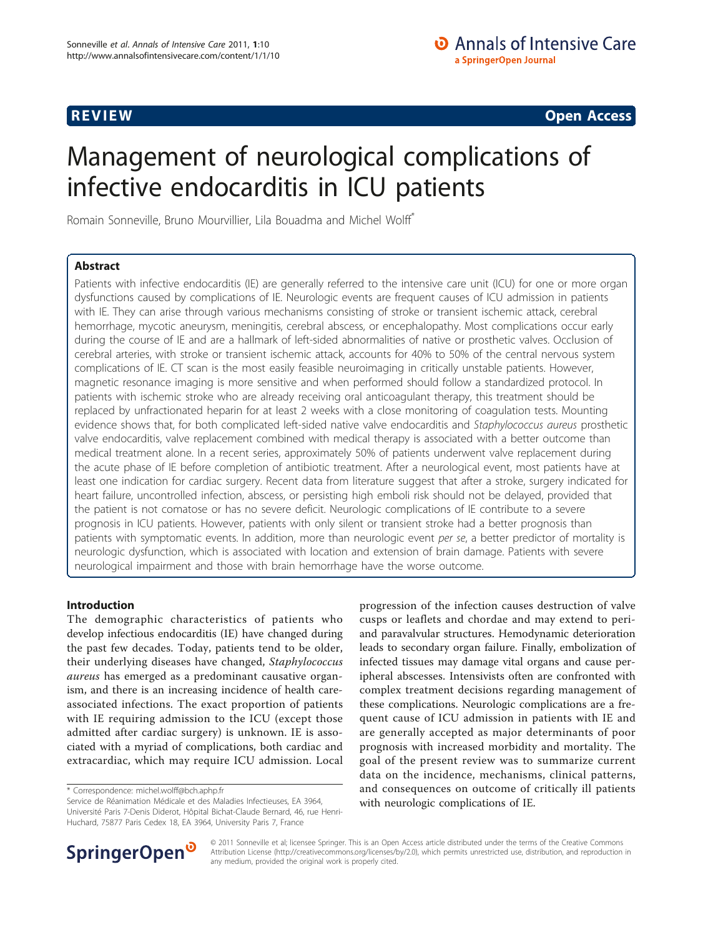**REVIEW CONSTRUCTION CONSTRUCTION CONSTRUCTS** 

# Management of neurological complications of infective endocarditis in ICU patients

Romain Sonneville, Bruno Mourvillier, Lila Bouadma and Michel Wolff\*

# Abstract

Patients with infective endocarditis (IE) are generally referred to the intensive care unit (ICU) for one or more organ dysfunctions caused by complications of IE. Neurologic events are frequent causes of ICU admission in patients with IE. They can arise through various mechanisms consisting of stroke or transient ischemic attack, cerebral hemorrhage, mycotic aneurysm, meningitis, cerebral abscess, or encephalopathy. Most complications occur early during the course of IE and are a hallmark of left-sided abnormalities of native or prosthetic valves. Occlusion of cerebral arteries, with stroke or transient ischemic attack, accounts for 40% to 50% of the central nervous system complications of IE. CT scan is the most easily feasible neuroimaging in critically unstable patients. However, magnetic resonance imaging is more sensitive and when performed should follow a standardized protocol. In patients with ischemic stroke who are already receiving oral anticoagulant therapy, this treatment should be replaced by unfractionated heparin for at least 2 weeks with a close monitoring of coagulation tests. Mounting evidence shows that, for both complicated left-sided native valve endocarditis and Staphylococcus aureus prosthetic valve endocarditis, valve replacement combined with medical therapy is associated with a better outcome than medical treatment alone. In a recent series, approximately 50% of patients underwent valve replacement during the acute phase of IE before completion of antibiotic treatment. After a neurological event, most patients have at least one indication for cardiac surgery. Recent data from literature suggest that after a stroke, surgery indicated for heart failure, uncontrolled infection, abscess, or persisting high emboli risk should not be delayed, provided that the patient is not comatose or has no severe deficit. Neurologic complications of IE contribute to a severe prognosis in ICU patients. However, patients with only silent or transient stroke had a better prognosis than patients with symptomatic events. In addition, more than neurologic event per se, a better predictor of mortality is neurologic dysfunction, which is associated with location and extension of brain damage. Patients with severe neurological impairment and those with brain hemorrhage have the worse outcome.

# Introduction

The demographic characteristics of patients who develop infectious endocarditis (IE) have changed during the past few decades. Today, patients tend to be older, their underlying diseases have changed, Staphylococcus aureus has emerged as a predominant causative organism, and there is an increasing incidence of health careassociated infections. The exact proportion of patients with IE requiring admission to the ICU (except those admitted after cardiac surgery) is unknown. IE is associated with a myriad of complications, both cardiac and extracardiac, which may require ICU admission. Local

Service de Réanimation Médicale et des Maladies Infectieuses, EA 3964, Université Paris 7-Denis Diderot, Hôpital Bichat-Claude Bernard, 46, rue Henri-Huchard, 75877 Paris Cedex 18, EA 3964, University Paris 7, France

progression of the infection causes destruction of valve cusps or leaflets and chordae and may extend to periand paravalvular structures. Hemodynamic deterioration leads to secondary organ failure. Finally, embolization of infected tissues may damage vital organs and cause peripheral abscesses. Intensivists often are confronted with complex treatment decisions regarding management of these complications. Neurologic complications are a frequent cause of ICU admission in patients with IE and are generally accepted as major determinants of poor prognosis with increased morbidity and mortality. The goal of the present review was to summarize current data on the incidence, mechanisms, clinical patterns, and consequences on outcome of critically ill patients with neurologic complications of IE.



© 2011 Sonneville et al; licensee Springer. This is an Open Access article distributed under the terms of the Creative Commons Attribution License [\(http://creativecommons.org/licenses/by/2.0](http://creativecommons.org/licenses/by/2.0)), which permits unrestricted use, distribution, and reproduction in any medium, provided the original work is properly cited.

<sup>\*</sup> Correspondence: [michel.wolff@bch.aphp.fr](mailto:michel.wolff@bch.aphp.fr)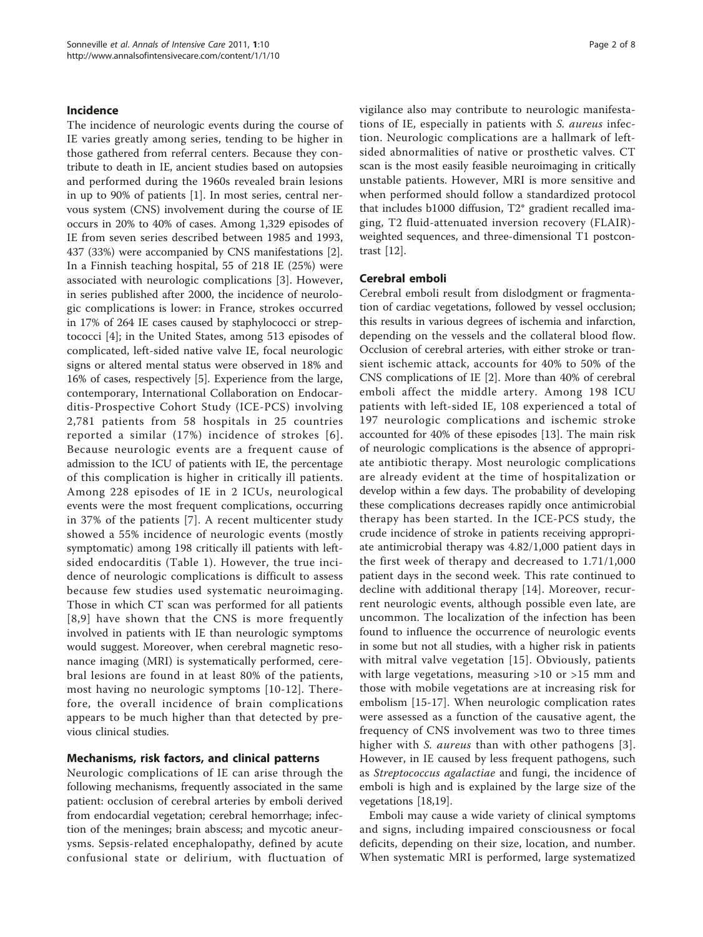#### Incidence

The incidence of neurologic events during the course of IE varies greatly among series, tending to be higher in those gathered from referral centers. Because they contribute to death in IE, ancient studies based on autopsies and performed during the 1960s revealed brain lesions in up to 90% of patients [[1\]](#page-6-0). In most series, central nervous system (CNS) involvement during the course of IE occurs in 20% to 40% of cases. Among 1,329 episodes of IE from seven series described between 1985 and 1993, 437 (33%) were accompanied by CNS manifestations [\[2](#page-6-0)]. In a Finnish teaching hospital, 55 of 218 IE (25%) were associated with neurologic complications [[3](#page-6-0)]. However, in series published after 2000, the incidence of neurologic complications is lower: in France, strokes occurred in 17% of 264 IE cases caused by staphylococci or streptococci [[4\]](#page-6-0); in the United States, among 513 episodes of complicated, left-sided native valve IE, focal neurologic signs or altered mental status were observed in 18% and 16% of cases, respectively [[5\]](#page-6-0). Experience from the large, contemporary, International Collaboration on Endocarditis-Prospective Cohort Study (ICE-PCS) involving 2,781 patients from 58 hospitals in 25 countries reported a similar (17%) incidence of strokes [[6\]](#page-6-0). Because neurologic events are a frequent cause of admission to the ICU of patients with IE, the percentage of this complication is higher in critically ill patients. Among 228 episodes of IE in 2 ICUs, neurological events were the most frequent complications, occurring in 37% of the patients [[7](#page-6-0)]. A recent multicenter study showed a 55% incidence of neurologic events (mostly symptomatic) among 198 critically ill patients with leftsided endocarditis (Table [1](#page-2-0)). However, the true incidence of neurologic complications is difficult to assess because few studies used systematic neuroimaging. Those in which CT scan was performed for all patients [[8,9\]](#page-6-0) have shown that the CNS is more frequently involved in patients with IE than neurologic symptoms would suggest. Moreover, when cerebral magnetic resonance imaging (MRI) is systematically performed, cerebral lesions are found in at least 80% of the patients, most having no neurologic symptoms [[10](#page-6-0)-[12](#page-6-0)]. Therefore, the overall incidence of brain complications appears to be much higher than that detected by previous clinical studies.

#### Mechanisms, risk factors, and clinical patterns

Neurologic complications of IE can arise through the following mechanisms, frequently associated in the same patient: occlusion of cerebral arteries by emboli derived from endocardial vegetation; cerebral hemorrhage; infection of the meninges; brain abscess; and mycotic aneurysms. Sepsis-related encephalopathy, defined by acute confusional state or delirium, with fluctuation of vigilance also may contribute to neurologic manifestations of IE, especially in patients with S. aureus infection. Neurologic complications are a hallmark of leftsided abnormalities of native or prosthetic valves. CT scan is the most easily feasible neuroimaging in critically unstable patients. However, MRI is more sensitive and when performed should follow a standardized protocol that includes b1000 diffusion, T2\* gradient recalled imaging, T2 fluid-attenuated inversion recovery (FLAIR) weighted sequences, and three-dimensional T1 postcontrast [\[12\]](#page-6-0).

## Cerebral emboli

Cerebral emboli result from dislodgment or fragmentation of cardiac vegetations, followed by vessel occlusion; this results in various degrees of ischemia and infarction, depending on the vessels and the collateral blood flow. Occlusion of cerebral arteries, with either stroke or transient ischemic attack, accounts for 40% to 50% of the CNS complications of IE [[2\]](#page-6-0). More than 40% of cerebral emboli affect the middle artery. Among 198 ICU patients with left-sided IE, 108 experienced a total of 197 neurologic complications and ischemic stroke accounted for 40% of these episodes [[13\]](#page-6-0). The main risk of neurologic complications is the absence of appropriate antibiotic therapy. Most neurologic complications are already evident at the time of hospitalization or develop within a few days. The probability of developing these complications decreases rapidly once antimicrobial therapy has been started. In the ICE-PCS study, the crude incidence of stroke in patients receiving appropriate antimicrobial therapy was 4.82/1,000 patient days in the first week of therapy and decreased to 1.71/1,000 patient days in the second week. This rate continued to decline with additional therapy [[14\]](#page-6-0). Moreover, recurrent neurologic events, although possible even late, are uncommon. The localization of the infection has been found to influence the occurrence of neurologic events in some but not all studies, with a higher risk in patients with mitral valve vegetation [[15](#page-6-0)]. Obviously, patients with large vegetations, measuring >10 or >15 mm and those with mobile vegetations are at increasing risk for embolism [[15-](#page-6-0)[17\]](#page-7-0). When neurologic complication rates were assessed as a function of the causative agent, the frequency of CNS involvement was two to three times higher with S. aureus than with other pathogens [[3\]](#page-6-0). However, in IE caused by less frequent pathogens, such as Streptococcus agalactiae and fungi, the incidence of emboli is high and is explained by the large size of the vegetations [\[18,19](#page-7-0)].

Emboli may cause a wide variety of clinical symptoms and signs, including impaired consciousness or focal deficits, depending on their size, location, and number. When systematic MRI is performed, large systematized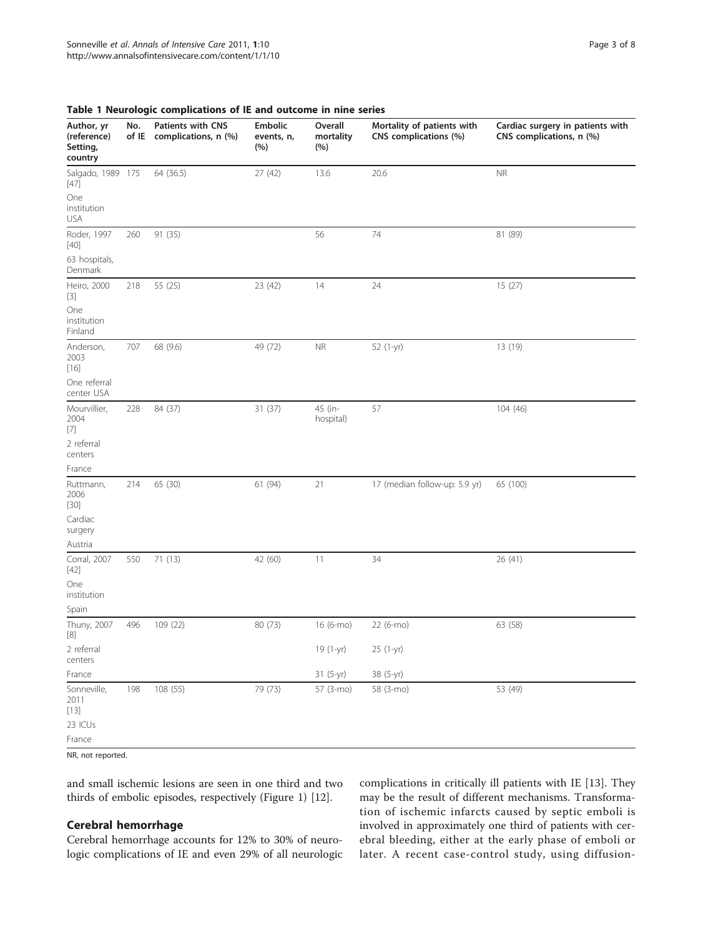| Author, yr<br>(reference)<br>Setting,<br>country                                                                                                                                                                                                                                                                                                                                                                                                                                                                                                                                                                                                                                                                                                                                                                    | No.<br>of IE | Patients with CNS<br>complications, n (%) | Embolic<br>events, n,<br>(%) | Overall<br>mortality<br>(%) | Mortality of patients with<br>CNS complications (%) | Cardiac surgery in patients with<br>CNS complications, n (%) |
|---------------------------------------------------------------------------------------------------------------------------------------------------------------------------------------------------------------------------------------------------------------------------------------------------------------------------------------------------------------------------------------------------------------------------------------------------------------------------------------------------------------------------------------------------------------------------------------------------------------------------------------------------------------------------------------------------------------------------------------------------------------------------------------------------------------------|--------------|-------------------------------------------|------------------------------|-----------------------------|-----------------------------------------------------|--------------------------------------------------------------|
| Salgado, 1989 175<br>$[47]$                                                                                                                                                                                                                                                                                                                                                                                                                                                                                                                                                                                                                                                                                                                                                                                         |              | 64 (36.5)                                 | 27 (42)                      | 13.6                        | 20.6                                                | $\sf NR$                                                     |
| One<br>institution<br><b>USA</b>                                                                                                                                                                                                                                                                                                                                                                                                                                                                                                                                                                                                                                                                                                                                                                                    |              |                                           |                              |                             |                                                     |                                                              |
| Roder, 1997<br>$[40]$                                                                                                                                                                                                                                                                                                                                                                                                                                                                                                                                                                                                                                                                                                                                                                                               | 260          | 91 (35)                                   |                              | 56                          | 74                                                  | 81 (89)                                                      |
| 63 hospitals,<br>Denmark                                                                                                                                                                                                                                                                                                                                                                                                                                                                                                                                                                                                                                                                                                                                                                                            |              |                                           |                              |                             |                                                     |                                                              |
| Heiro, 2000<br>$[3]$                                                                                                                                                                                                                                                                                                                                                                                                                                                                                                                                                                                                                                                                                                                                                                                                | 218          | 55 (25)                                   | 23 (42)                      | 14                          | 24                                                  | 15 (27)                                                      |
| One<br>institution<br>Finland                                                                                                                                                                                                                                                                                                                                                                                                                                                                                                                                                                                                                                                                                                                                                                                       |              |                                           |                              |                             |                                                     |                                                              |
| Anderson,<br>2003<br>$[16]$                                                                                                                                                                                                                                                                                                                                                                                                                                                                                                                                                                                                                                                                                                                                                                                         | 707          | 68 (9.6)                                  | 49 (72)                      | <b>NR</b>                   | 52 (1-yr)                                           | 13 (19)                                                      |
| One referral<br>center USA                                                                                                                                                                                                                                                                                                                                                                                                                                                                                                                                                                                                                                                                                                                                                                                          |              |                                           |                              |                             |                                                     |                                                              |
| Mourvillier,<br>2004<br>$[7] \centering% \includegraphics[width=1\textwidth]{images/TransY.pdf} \caption{The first two different values of $10^{-4}$. The first two different values of $10^{-4}$. The first two different values of $10^{-4}$. The first two different values of $10^{-4}$. The first two different values of $10^{-4}$. The second two different values of $10^{-4}$. The second two different values of $10^{-4}$. The second two different values of $10^{-4}$. The second two different values of $10^{-4}$. The second two different values of $10^{-4}$. The second two different values of $10^{-4}$. The second two different values of $10^{-4}$. The second two different values of $10^{-4}$. The second two different values of $10^{-4}$. The second two different values of $10^{-4$ | 228          | 84 (37)                                   | 31 (37)                      | 45 (in-<br>hospital)        | 57                                                  | 104 (46)                                                     |
| 2 referral<br>centers                                                                                                                                                                                                                                                                                                                                                                                                                                                                                                                                                                                                                                                                                                                                                                                               |              |                                           |                              |                             |                                                     |                                                              |
| France                                                                                                                                                                                                                                                                                                                                                                                                                                                                                                                                                                                                                                                                                                                                                                                                              |              |                                           |                              |                             |                                                     |                                                              |
| Ruttmann,<br>2006<br>$[30]$                                                                                                                                                                                                                                                                                                                                                                                                                                                                                                                                                                                                                                                                                                                                                                                         | 214          | 65 (30)                                   | 61 (94)                      | 21                          | 17 (median follow-up: 5.9 yr)                       | 65 (100)                                                     |
| Cardiac<br>surgery                                                                                                                                                                                                                                                                                                                                                                                                                                                                                                                                                                                                                                                                                                                                                                                                  |              |                                           |                              |                             |                                                     |                                                              |
| Austria                                                                                                                                                                                                                                                                                                                                                                                                                                                                                                                                                                                                                                                                                                                                                                                                             |              |                                           |                              |                             |                                                     |                                                              |
| Corral, 2007<br>$[42]$                                                                                                                                                                                                                                                                                                                                                                                                                                                                                                                                                                                                                                                                                                                                                                                              | 550          | 71(13)                                    | 42 (60)                      | 11                          | 34                                                  | 26 (41)                                                      |
| One<br>institution                                                                                                                                                                                                                                                                                                                                                                                                                                                                                                                                                                                                                                                                                                                                                                                                  |              |                                           |                              |                             |                                                     |                                                              |
| Spain                                                                                                                                                                                                                                                                                                                                                                                                                                                                                                                                                                                                                                                                                                                                                                                                               |              |                                           |                              |                             |                                                     |                                                              |
| Thuny, 2007<br>[8]                                                                                                                                                                                                                                                                                                                                                                                                                                                                                                                                                                                                                                                                                                                                                                                                  | 496          | 109 (22)                                  | 80 (73)                      | 16 (6-mo)                   | 22 (6-mo)                                           | 63 (58)                                                      |
| 2 referral<br>centers                                                                                                                                                                                                                                                                                                                                                                                                                                                                                                                                                                                                                                                                                                                                                                                               |              |                                           |                              | 19 (1-yr)                   | 25 (1-yr)                                           |                                                              |
| France                                                                                                                                                                                                                                                                                                                                                                                                                                                                                                                                                                                                                                                                                                                                                                                                              |              |                                           |                              | 31 (5-yr)                   | 38 (5-yr)                                           |                                                              |
| Sonneville,<br>2011<br>[13]                                                                                                                                                                                                                                                                                                                                                                                                                                                                                                                                                                                                                                                                                                                                                                                         | 198          | 108 (55)                                  | 79 (73)                      | 57 (3-mo)                   | 58 (3-mo)                                           | 53 (49)                                                      |
| 23 ICUs<br>France                                                                                                                                                                                                                                                                                                                                                                                                                                                                                                                                                                                                                                                                                                                                                                                                   |              |                                           |                              |                             |                                                     |                                                              |
|                                                                                                                                                                                                                                                                                                                                                                                                                                                                                                                                                                                                                                                                                                                                                                                                                     |              |                                           |                              |                             |                                                     |                                                              |

## <span id="page-2-0"></span>Table 1 Neurologic complications of IE and outcome in nine series

NR, not reported.

and small ischemic lesions are seen in one third and two thirds of embolic episodes, respectively (Figure [1](#page-3-0)) [[12](#page-6-0)].

## Cerebral hemorrhage

Cerebral hemorrhage accounts for 12% to 30% of neurologic complications of IE and even 29% of all neurologic complications in critically ill patients with IE [\[13](#page-6-0)]. They may be the result of different mechanisms. Transformation of ischemic infarcts caused by septic emboli is involved in approximately one third of patients with cerebral bleeding, either at the early phase of emboli or later. A recent case-control study, using diffusion-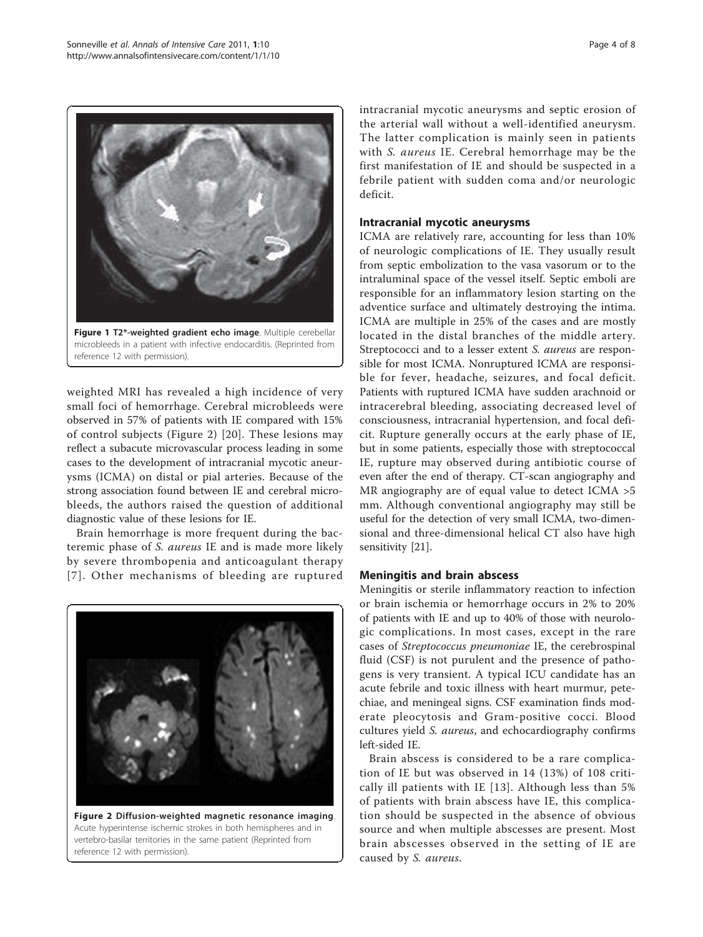<span id="page-3-0"></span>

weighted MRI has revealed a high incidence of very small foci of hemorrhage. Cerebral microbleeds were observed in 57% of patients with IE compared with 15% of control subjects (Figure 2) [[20\]](#page-7-0). These lesions may reflect a subacute microvascular process leading in some cases to the development of intracranial mycotic aneurysms (ICMA) on distal or pial arteries. Because of the strong association found between IE and cerebral microbleeds, the authors raised the question of additional diagnostic value of these lesions for IE.

Brain hemorrhage is more frequent during the bacteremic phase of S. aureus IE and is made more likely by severe thrombopenia and anticoagulant therapy [[7](#page-6-0)]. Other mechanisms of bleeding are ruptured



Figure 2 Diffusion-weighted magnetic resonance imaging. Acute hyperintense ischemic strokes in both hemispheres and in vertebro-basilar territories in the same patient (Reprinted from reference 12 with permission).

intracranial mycotic aneurysms and septic erosion of the arterial wall without a well-identified aneurysm. The latter complication is mainly seen in patients with S. aureus IE. Cerebral hemorrhage may be the first manifestation of IE and should be suspected in a febrile patient with sudden coma and/or neurologic deficit.

### Intracranial mycotic aneurysms

ICMA are relatively rare, accounting for less than 10% of neurologic complications of IE. They usually result from septic embolization to the vasa vasorum or to the intraluminal space of the vessel itself. Septic emboli are responsible for an inflammatory lesion starting on the adventice surface and ultimately destroying the intima. ICMA are multiple in 25% of the cases and are mostly located in the distal branches of the middle artery. Streptococci and to a lesser extent S. aureus are responsible for most ICMA. Nonruptured ICMA are responsible for fever, headache, seizures, and focal deficit. Patients with ruptured ICMA have sudden arachnoid or intracerebral bleeding, associating decreased level of consciousness, intracranial hypertension, and focal deficit. Rupture generally occurs at the early phase of IE, but in some patients, especially those with streptococcal IE, rupture may observed during antibiotic course of even after the end of therapy. CT-scan angiography and MR angiography are of equal value to detect ICMA >5 mm. Although conventional angiography may still be useful for the detection of very small ICMA, two-dimensional and three-dimensional helical CT also have high sensitivity [\[21\]](#page-7-0).

#### Meningitis and brain abscess

Meningitis or sterile inflammatory reaction to infection or brain ischemia or hemorrhage occurs in 2% to 20% of patients with IE and up to 40% of those with neurologic complications. In most cases, except in the rare cases of Streptococcus pneumoniae IE, the cerebrospinal fluid (CSF) is not purulent and the presence of pathogens is very transient. A typical ICU candidate has an acute febrile and toxic illness with heart murmur, petechiae, and meningeal signs. CSF examination finds moderate pleocytosis and Gram-positive cocci. Blood cultures yield S. aureus, and echocardiography confirms left-sided IE.

Brain abscess is considered to be a rare complication of IE but was observed in 14 (13%) of 108 critically ill patients with IE [[13](#page-6-0)]. Although less than 5% of patients with brain abscess have IE, this complication should be suspected in the absence of obvious source and when multiple abscesses are present. Most brain abscesses observed in the setting of IE are caused by S. aureus.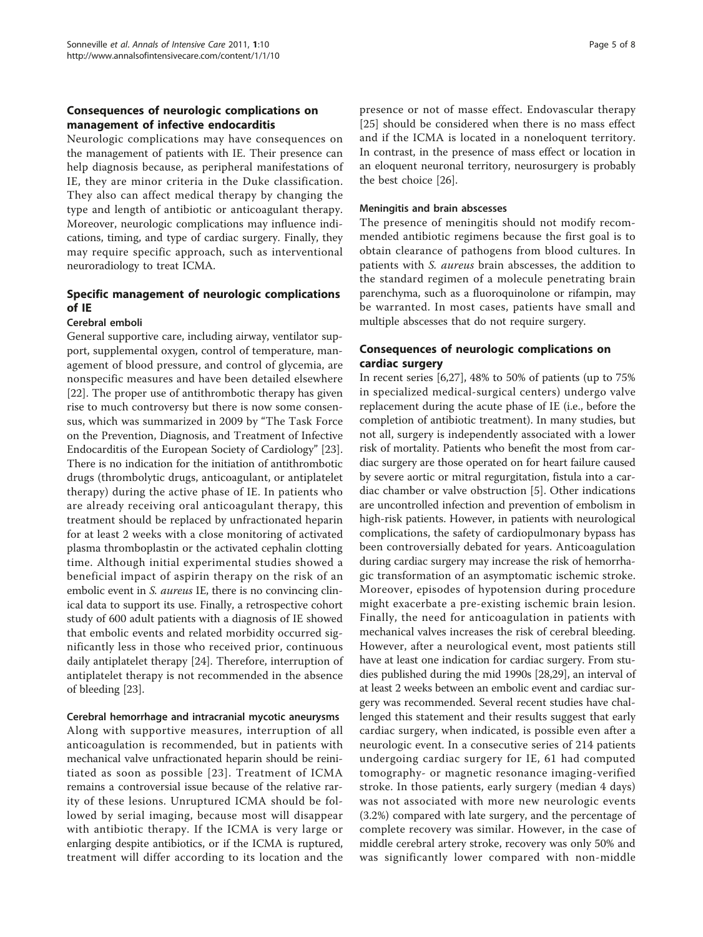# Consequences of neurologic complications on management of infective endocarditis

Neurologic complications may have consequences on the management of patients with IE. Their presence can help diagnosis because, as peripheral manifestations of IE, they are minor criteria in the Duke classification. They also can affect medical therapy by changing the type and length of antibiotic or anticoagulant therapy. Moreover, neurologic complications may influence indications, timing, and type of cardiac surgery. Finally, they may require specific approach, such as interventional neuroradiology to treat ICMA.

# Specific management of neurologic complications of IE

## Cerebral emboli

General supportive care, including airway, ventilator support, supplemental oxygen, control of temperature, management of blood pressure, and control of glycemia, are nonspecific measures and have been detailed elsewhere [[22\]](#page-7-0). The proper use of antithrombotic therapy has given rise to much controversy but there is now some consensus, which was summarized in 2009 by "The Task Force on the Prevention, Diagnosis, and Treatment of Infective Endocarditis of the European Society of Cardiology" [\[23](#page-7-0)]. There is no indication for the initiation of antithrombotic drugs (thrombolytic drugs, anticoagulant, or antiplatelet therapy) during the active phase of IE. In patients who are already receiving oral anticoagulant therapy, this treatment should be replaced by unfractionated heparin for at least 2 weeks with a close monitoring of activated plasma thromboplastin or the activated cephalin clotting time. Although initial experimental studies showed a beneficial impact of aspirin therapy on the risk of an embolic event in S. aureus IE, there is no convincing clinical data to support its use. Finally, a retrospective cohort study of 600 adult patients with a diagnosis of IE showed that embolic events and related morbidity occurred significantly less in those who received prior, continuous daily antiplatelet therapy [[24\]](#page-7-0). Therefore, interruption of antiplatelet therapy is not recommended in the absence of bleeding [\[23](#page-7-0)].

## Cerebral hemorrhage and intracranial mycotic aneurysms

Along with supportive measures, interruption of all anticoagulation is recommended, but in patients with mechanical valve unfractionated heparin should be reinitiated as soon as possible [[23](#page-7-0)]. Treatment of ICMA remains a controversial issue because of the relative rarity of these lesions. Unruptured ICMA should be followed by serial imaging, because most will disappear with antibiotic therapy. If the ICMA is very large or enlarging despite antibiotics, or if the ICMA is ruptured, treatment will differ according to its location and the

presence or not of masse effect. Endovascular therapy [[25\]](#page-7-0) should be considered when there is no mass effect and if the ICMA is located in a noneloquent territory. In contrast, in the presence of mass effect or location in an eloquent neuronal territory, neurosurgery is probably the best choice [[26\]](#page-7-0).

#### Meningitis and brain abscesses

The presence of meningitis should not modify recommended antibiotic regimens because the first goal is to obtain clearance of pathogens from blood cultures. In patients with *S. aureus* brain abscesses, the addition to the standard regimen of a molecule penetrating brain parenchyma, such as a fluoroquinolone or rifampin, may be warranted. In most cases, patients have small and multiple abscesses that do not require surgery.

# Consequences of neurologic complications on cardiac surgery

In recent series [\[6](#page-6-0)[,27](#page-7-0)], 48% to 50% of patients (up to 75% in specialized medical-surgical centers) undergo valve replacement during the acute phase of IE (i.e., before the completion of antibiotic treatment). In many studies, but not all, surgery is independently associated with a lower risk of mortality. Patients who benefit the most from cardiac surgery are those operated on for heart failure caused by severe aortic or mitral regurgitation, fistula into a cardiac chamber or valve obstruction [[5](#page-6-0)]. Other indications are uncontrolled infection and prevention of embolism in high-risk patients. However, in patients with neurological complications, the safety of cardiopulmonary bypass has been controversially debated for years. Anticoagulation during cardiac surgery may increase the risk of hemorrhagic transformation of an asymptomatic ischemic stroke. Moreover, episodes of hypotension during procedure might exacerbate a pre-existing ischemic brain lesion. Finally, the need for anticoagulation in patients with mechanical valves increases the risk of cerebral bleeding. However, after a neurological event, most patients still have at least one indication for cardiac surgery. From studies published during the mid 1990s [\[28,29\]](#page-7-0), an interval of at least 2 weeks between an embolic event and cardiac surgery was recommended. Several recent studies have challenged this statement and their results suggest that early cardiac surgery, when indicated, is possible even after a neurologic event. In a consecutive series of 214 patients undergoing cardiac surgery for IE, 61 had computed tomography- or magnetic resonance imaging-verified stroke. In those patients, early surgery (median 4 days) was not associated with more new neurologic events (3.2%) compared with late surgery, and the percentage of complete recovery was similar. However, in the case of middle cerebral artery stroke, recovery was only 50% and was significantly lower compared with non-middle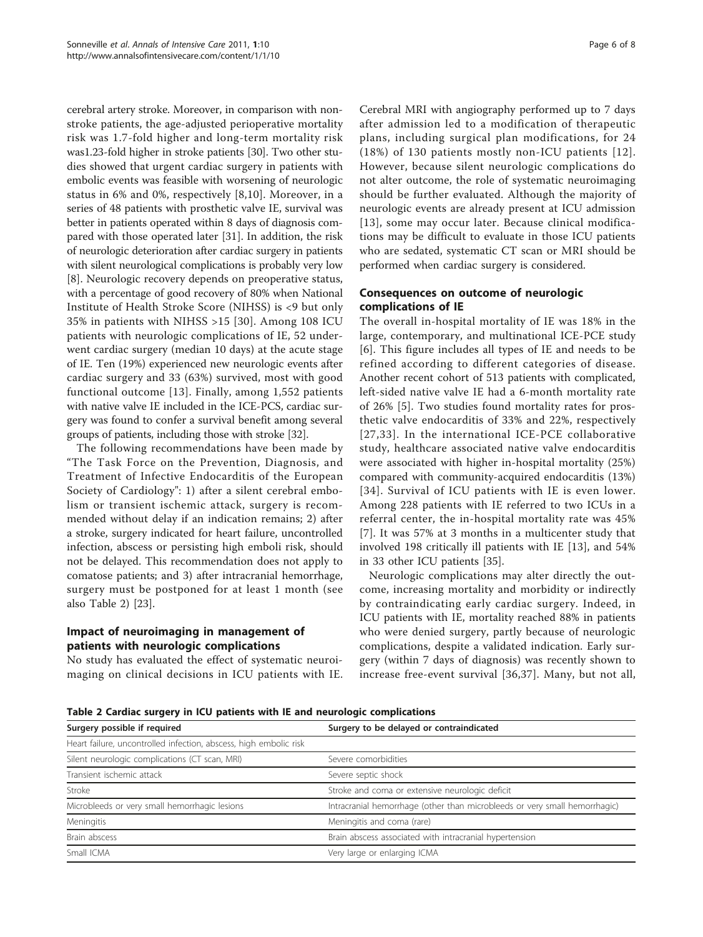cerebral artery stroke. Moreover, in comparison with nonstroke patients, the age-adjusted perioperative mortality risk was 1.7-fold higher and long-term mortality risk was1.23-fold higher in stroke patients [[30](#page-7-0)]. Two other studies showed that urgent cardiac surgery in patients with embolic events was feasible with worsening of neurologic status in 6% and 0%, respectively [\[8](#page-6-0),[10\]](#page-6-0). Moreover, in a series of 48 patients with prosthetic valve IE, survival was better in patients operated within 8 days of diagnosis compared with those operated later [\[31](#page-7-0)]. In addition, the risk of neurologic deterioration after cardiac surgery in patients with silent neurological complications is probably very low [[8\]](#page-6-0). Neurologic recovery depends on preoperative status, with a percentage of good recovery of 80% when National Institute of Health Stroke Score (NIHSS) is <9 but only 35% in patients with NIHSS >15 [\[30\]](#page-7-0). Among 108 ICU patients with neurologic complications of IE, 52 underwent cardiac surgery (median 10 days) at the acute stage of IE. Ten (19%) experienced new neurologic events after cardiac surgery and 33 (63%) survived, most with good functional outcome [\[13\]](#page-6-0). Finally, among 1,552 patients with native valve IE included in the ICE-PCS, cardiac surgery was found to confer a survival benefit among several groups of patients, including those with stroke [[32](#page-7-0)].

The following recommendations have been made by "The Task Force on the Prevention, Diagnosis, and Treatment of Infective Endocarditis of the European Society of Cardiology": 1) after a silent cerebral embolism or transient ischemic attack, surgery is recommended without delay if an indication remains; 2) after a stroke, surgery indicated for heart failure, uncontrolled infection, abscess or persisting high emboli risk, should not be delayed. This recommendation does not apply to comatose patients; and 3) after intracranial hemorrhage, surgery must be postponed for at least 1 month (see also Table 2) [\[23](#page-7-0)].

# Impact of neuroimaging in management of patients with neurologic complications

No study has evaluated the effect of systematic neuroimaging on clinical decisions in ICU patients with IE.

Cerebral MRI with angiography performed up to 7 days after admission led to a modification of therapeutic plans, including surgical plan modifications, for 24 (18%) of 130 patients mostly non-ICU patients [[12\]](#page-6-0). However, because silent neurologic complications do not alter outcome, the role of systematic neuroimaging should be further evaluated. Although the majority of neurologic events are already present at ICU admission [[13](#page-6-0)], some may occur later. Because clinical modifications may be difficult to evaluate in those ICU patients who are sedated, systematic CT scan or MRI should be performed when cardiac surgery is considered.

# Consequences on outcome of neurologic complications of IE

The overall in-hospital mortality of IE was 18% in the large, contemporary, and multinational ICE-PCE study [[6\]](#page-6-0). This figure includes all types of IE and needs to be refined according to different categories of disease. Another recent cohort of 513 patients with complicated, left-sided native valve IE had a 6-month mortality rate of 26% [[5](#page-6-0)]. Two studies found mortality rates for prosthetic valve endocarditis of 33% and 22%, respectively [[27](#page-7-0),[33](#page-7-0)]. In the international ICE-PCE collaborative study, healthcare associated native valve endocarditis were associated with higher in-hospital mortality (25%) compared with community-acquired endocarditis (13%) [[34\]](#page-7-0). Survival of ICU patients with IE is even lower. Among 228 patients with IE referred to two ICUs in a referral center, the in-hospital mortality rate was 45% [[7\]](#page-6-0). It was 57% at 3 months in a multicenter study that involved 198 critically ill patients with IE [\[13](#page-6-0)], and 54% in 33 other ICU patients [\[35](#page-7-0)].

Neurologic complications may alter directly the outcome, increasing mortality and morbidity or indirectly by contraindicating early cardiac surgery. Indeed, in ICU patients with IE, mortality reached 88% in patients who were denied surgery, partly because of neurologic complications, despite a validated indication. Early surgery (within 7 days of diagnosis) was recently shown to increase free-event survival [[36,37\]](#page-7-0). Many, but not all,

Table 2 Cardiac surgery in ICU patients with IE and neurologic complications

| Surgery possible if required                                      | Surgery to be delayed or contraindicated                                   |
|-------------------------------------------------------------------|----------------------------------------------------------------------------|
| Heart failure, uncontrolled infection, abscess, high embolic risk |                                                                            |
| Silent neurologic complications (CT scan, MRI)                    | Severe comorbidities                                                       |
| Transient ischemic attack                                         | Severe septic shock                                                        |
| Stroke                                                            | Stroke and coma or extensive neurologic deficit                            |
| Microbleeds or very small hemorrhagic lesions                     | Intracranial hemorrhage (other than microbleeds or very small hemorrhagic) |
| Meningitis                                                        | Meningitis and coma (rare)                                                 |
| Brain abscess                                                     | Brain abscess associated with intracranial hypertension                    |
| Small ICMA                                                        | Very large or enlarging ICMA                                               |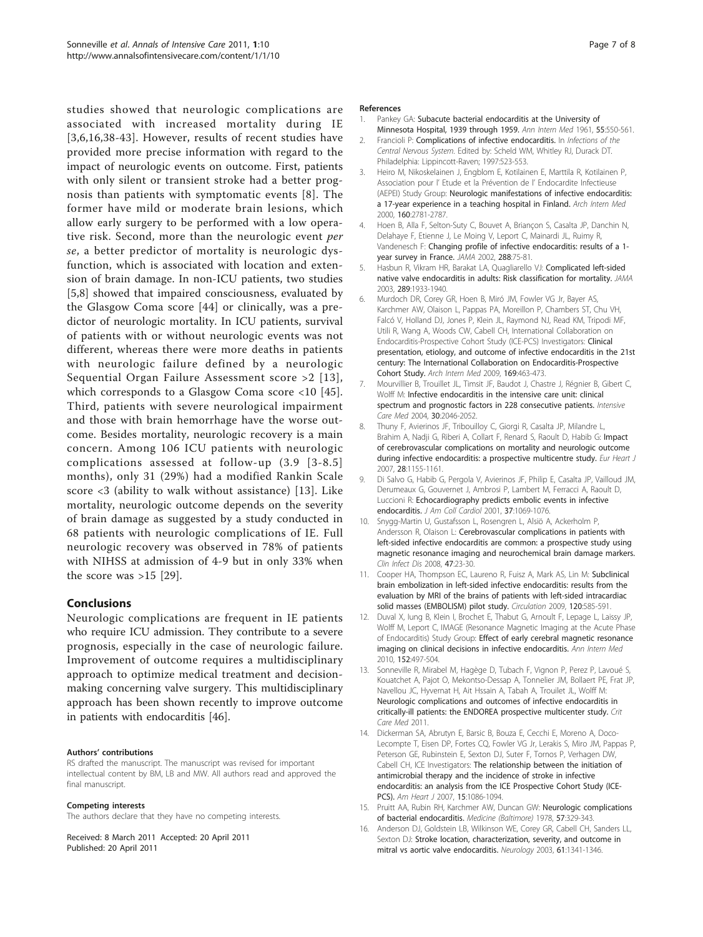<span id="page-6-0"></span>studies showed that neurologic complications are associated with increased mortality during IE [3,6,16[,38-43\]](#page-7-0). However, results of recent studies have provided more precise information with regard to the impact of neurologic events on outcome. First, patients with only silent or transient stroke had a better prognosis than patients with symptomatic events [8]. The former have mild or moderate brain lesions, which allow early surgery to be performed with a low operative risk. Second, more than the neurologic event per se, a better predictor of mortality is neurologic dysfunction, which is associated with location and extension of brain damage. In non-ICU patients, two studies [5,8] showed that impaired consciousness, evaluated by the Glasgow Coma score [[44\]](#page-7-0) or clinically, was a predictor of neurologic mortality. In ICU patients, survival of patients with or without neurologic events was not different, whereas there were more deaths in patients with neurologic failure defined by a neurologic Sequential Organ Failure Assessment score >2 [13], which corresponds to a Glasgow Coma score <10 [[45](#page-7-0)]. Third, patients with severe neurological impairment and those with brain hemorrhage have the worse outcome. Besides mortality, neurologic recovery is a main concern. Among 106 ICU patients with neurologic complications assessed at follow-up (3.9 [3-8.5] months), only 31 (29%) had a modified Rankin Scale score <3 (ability to walk without assistance) [13]. Like mortality, neurologic outcome depends on the severity of brain damage as suggested by a study conducted in 68 patients with neurologic complications of IE. Full neurologic recovery was observed in 78% of patients with NIHSS at admission of 4-9 but in only 33% when the score was >15 [[29\]](#page-7-0).

## Conclusions

Neurologic complications are frequent in IE patients who require ICU admission. They contribute to a severe prognosis, especially in the case of neurologic failure. Improvement of outcome requires a multidisciplinary approach to optimize medical treatment and decisionmaking concerning valve surgery. This multidisciplinary approach has been shown recently to improve outcome in patients with endocarditis [\[46\]](#page-7-0).

#### Authors' contributions

RS drafted the manuscript. The manuscript was revised for important intellectual content by BM, LB and MW. All authors read and approved the final manuscript.

#### Competing interests

The authors declare that they have no competing interests.

Received: 8 March 2011 Accepted: 20 April 2011 Published: 20 April 2011

#### References

- 1. Pankey GA: [Subacute bacterial endocarditis at the University of](http://www.ncbi.nlm.nih.gov/pubmed/14483545?dopt=Abstract) [Minnesota Hospital, 1939 through 1959.](http://www.ncbi.nlm.nih.gov/pubmed/14483545?dopt=Abstract) Ann Intern Med 1961, 55:550-561.
- 2. Francioli P: Complications of infective endocarditis. In Infections of the Central Nervous System. Edited by: Scheld WM, Whitley RJ, Durack DT. Philadelphia: Lippincott-Raven; 1997:523-553.
- 3. Heiro M, Nikoskelainen J, Engblom E, Kotilainen E, Marttila R, Kotilainen P, Association pour l' Etude et la Prévention de l' Endocardite Infectieuse (AEPEI) Study Group: [Neurologic manifestations of infective endocarditis:](http://www.ncbi.nlm.nih.gov/pubmed/11025788?dopt=Abstract) [a 17-year experience in a teaching hospital in Finland.](http://www.ncbi.nlm.nih.gov/pubmed/11025788?dopt=Abstract) Arch Intern Med 2000, 160:2781-2787.
- 4. Hoen B, Alla F, Selton-Suty C, Bouvet A, Briançon S, Casalta JP, Danchin N, Delahaye F, Etienne J, Le Moing V, Leport C, Mainardi JL, Ruimy R, Vandenesch F: [Changing profile of infective endocarditis: results of a 1](http://www.ncbi.nlm.nih.gov/pubmed/12090865?dopt=Abstract) [year survey in France.](http://www.ncbi.nlm.nih.gov/pubmed/12090865?dopt=Abstract) JAMA 2002, 288:75-81.
- Hasbun R, Vikram HR, Barakat LA, Quagliarello VJ: [Complicated left-sided](http://www.ncbi.nlm.nih.gov/pubmed/12697795?dopt=Abstract) [native valve endocarditis in adults: Risk classification for mortality.](http://www.ncbi.nlm.nih.gov/pubmed/12697795?dopt=Abstract) JAMA 2003, 289:1933-1940.
- 6. Murdoch DR, Corey GR, Hoen B, Miró JM, Fowler VG Jr, Bayer AS, Karchmer AW, Olaison L, Pappas PA, Moreillon P, Chambers ST, Chu VH, Falcó V, Holland DJ, Jones P, Klein JL, Raymond NJ, Read KM, Tripodi MF, Utili R, Wang A, Woods CW, Cabell CH, International Collaboration on Endocarditis-Prospective Cohort Study (ICE-PCS) Investigators: [Clinical](http://www.ncbi.nlm.nih.gov/pubmed/19273776?dopt=Abstract) [presentation, etiology, and outcome of infective endocarditis in the 21st](http://www.ncbi.nlm.nih.gov/pubmed/19273776?dopt=Abstract) [century: The International Collaboration on Endocarditis-Prospective](http://www.ncbi.nlm.nih.gov/pubmed/19273776?dopt=Abstract) [Cohort Study.](http://www.ncbi.nlm.nih.gov/pubmed/19273776?dopt=Abstract) Arch Intern Med 2009, 169:463-473.
- 7. Mourvillier B, Trouillet JL, Timsit JF, Baudot J, Chastre J, Régnier B, Gibert C, Wolff M: [Infective endocarditis in the intensive care unit: clinical](http://www.ncbi.nlm.nih.gov/pubmed/15372147?dopt=Abstract) [spectrum and prognostic factors in 228 consecutive patients.](http://www.ncbi.nlm.nih.gov/pubmed/15372147?dopt=Abstract) Intensive Care Med 2004, 30:2046-2052.
- 8. Thuny F, Avierinos JF, Tribouilloy C, Giorgi R, Casalta JP, Milandre L, Brahim A, Nadji G, Riberi A, Collart F, Renard S, Raoult D, Habib G: [Impact](http://www.ncbi.nlm.nih.gov/pubmed/17363448?dopt=Abstract) [of cerebrovascular complications on mortality and neurologic outcome](http://www.ncbi.nlm.nih.gov/pubmed/17363448?dopt=Abstract) [during infective endocarditis: a prospective multicentre study.](http://www.ncbi.nlm.nih.gov/pubmed/17363448?dopt=Abstract) Eur Heart J 2007, 28:1155-1161.
- 9. Di Salvo G, Habib G, Pergola V, Avierinos JF, Philip E, Casalta JP, Vailloud JM, Derumeaux G, Gouvernet J, Ambrosi P, Lambert M, Ferracci A, Raoult D, Luccioni R: [Echocardiography predicts embolic events in infective](http://www.ncbi.nlm.nih.gov/pubmed/11263610?dopt=Abstract) [endocarditis.](http://www.ncbi.nlm.nih.gov/pubmed/11263610?dopt=Abstract) J Am Coll Cardiol 2001, 37:1069-1076.
- 10. Snygg-Martin U, Gustafsson L, Rosengren L, Alsiö A, Ackerholm P, Andersson R, Olaison L: [Cerebrovascular complications in patients with](http://www.ncbi.nlm.nih.gov/pubmed/18491965?dopt=Abstract) [left-sided infective endocarditis are common: a prospective study using](http://www.ncbi.nlm.nih.gov/pubmed/18491965?dopt=Abstract) [magnetic resonance imaging and neurochemical brain damage markers.](http://www.ncbi.nlm.nih.gov/pubmed/18491965?dopt=Abstract) Clin Infect Dis 2008, 47:23-30.
- 11. Cooper HA, Thompson EC, Laureno R, Fuisz A, Mark AS, Lin M: [Subclinical](http://www.ncbi.nlm.nih.gov/pubmed/19652096?dopt=Abstract) [brain embolization in left-sided infective endocarditis: results from the](http://www.ncbi.nlm.nih.gov/pubmed/19652096?dopt=Abstract) [evaluation by MRI of the brains of patients with left-sided intracardiac](http://www.ncbi.nlm.nih.gov/pubmed/19652096?dopt=Abstract) [solid masses \(EMBOLISM\) pilot study.](http://www.ncbi.nlm.nih.gov/pubmed/19652096?dopt=Abstract) Circulation 2009, 120:585-591.
- 12. Duval X, Iung B, Klein I, Brochet E, Thabut G, Arnoult F, Lepage L, Laissy JP, Wolff M, Leport C, IMAGE (Resonance Magnetic Imaging at the Acute Phase of Endocarditis) Study Group: [Effect of early cerebral magnetic resonance](http://www.ncbi.nlm.nih.gov/pubmed/20404380?dopt=Abstract) [imaging on clinical decisions in infective endocarditis.](http://www.ncbi.nlm.nih.gov/pubmed/20404380?dopt=Abstract) Ann Intern Med 2010, 152:497-504.
- 13. Sonneville R, Mirabel M, Hagège D, Tubach F, Vignon P, Perez P, Lavoué S, Kouatchet A, Pajot O, Mekontso-Dessap A, Tonnelier JM, Bollaert PE, Frat JP, Navellou JC, Hyvernat H, Ait Hssain A, Tabah A, Trouilet JL, Wolff M: Neurologic complications and outcomes of infective endocarditis in critically-ill patients: the ENDOREA prospective multicenter study. Crit Care Med 2011.
- 14. Dickerman SA, Abrutyn E, Barsic B, Bouza E, Cecchi E, Moreno A, Doco-Lecompte T, Eisen DP, Fortes CQ, Fowler VG Jr, Lerakis S, Miro JM, Pappas P, Peterson GE, Rubinstein E, Sexton DJ, Suter F, Tornos P, Verhagen DW, Cabell CH, ICE Investigators: The relationship between the initiation of antimicrobial therapy and the incidence of stroke in infective endocarditis: an analysis from the ICE Prospective Cohort Study (ICE-PCS). Am Heart J 2007, 15:1086-1094.
- 15. Pruitt AA, Rubin RH, Karchmer AW, Duncan GW: Neurologic complications of bacterial endocarditis. Medicine (Baltimore) 1978, 57:329-343.
- 16. Anderson DJ, Goldstein LB, Wilkinson WE, Corey GR, Cabell CH, Sanders LL, Sexton DJ: [Stroke location, characterization, severity, and outcome in](http://www.ncbi.nlm.nih.gov/pubmed/14638952?dopt=Abstract) [mitral vs aortic valve endocarditis.](http://www.ncbi.nlm.nih.gov/pubmed/14638952?dopt=Abstract) Neurology 2003, 61:1341-1346.